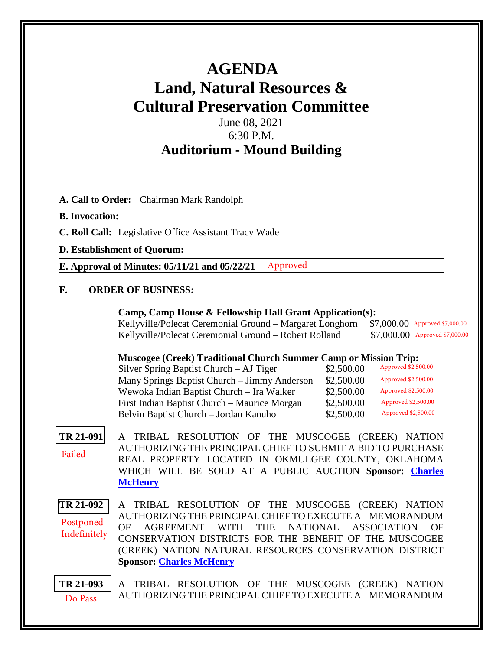# **AGENDA Land, Natural Resources & Cultural Preservation Committee**

## June 08, 2021 6:30 P.M. **Auditorium - Mound Building**

**A. Call to Order:** Chairman Mark Randolph

## **B. Invocation:**

- **C. Roll Call:** Legislative Office Assistant Tracy Wade
- **D. Establishment of Quorum:**

**E. Approval of Minutes: 05/11/21 and 05/22/21** Approved

## **F. ORDER OF BUSINESS:**

| Camp, Camp House & Fellowship Hall Grant Application(s):                     |  |  |
|------------------------------------------------------------------------------|--|--|
| $V_0$ llwille Delegat Caromonial Cround Margaret Longhorn $\mathbb{C}700000$ |  |  |

| Kellyville/Polecat Ceremonial Ground – Margaret Longhorn \$7,000.00 Approved \$7,000.00 |                                 |
|-----------------------------------------------------------------------------------------|---------------------------------|
| Kellyville/Polecat Ceremonial Ground – Robert Rolland                                   | $$7,000.00$ Approved \$7,000.00 |

### **Muscogee (Creek) Traditional Church Summer Camp or Mission Trip:**

| Silver Spring Baptist Church $-$ AJ Tiger    | \$2,500.00 | Approved \$2,500.00 |
|----------------------------------------------|------------|---------------------|
| Many Springs Baptist Church - Jimmy Anderson | \$2,500.00 | Approved \$2,500.00 |
| Wewoka Indian Baptist Church - Ira Walker    | \$2,500.00 | Approved \$2,500.00 |
| First Indian Baptist Church – Maurice Morgan | \$2,500.00 | Approved \$2,500.00 |
| Belvin Baptist Church - Jordan Kanuho        | \$2,500.00 | Approved \$2,500.00 |

#### **[TR 21-091](bills/21-091.pdf)** A TRIBAL RESOLUTION OF THE MUSCOGEE (CREEK) NATION AUTHORIZING THE PRINCIPAL CHIEF TO SUBMIT A BID TO PURCHASE REAL PROPERTY LOCATED IN OKMULGEE COUNTY, OKLAHOMA WHICH WILL BE SOLD AT A PUBLIC AUCTION **Sponsor: [Charles](mailto:cmchenry@mcn-nsn.gov)  [McHenry](mailto:cmchenry@mcn-nsn.gov)** Failed

**[TR 21-092](bills/21-092.pdf)** A TRIBAL RESOLUTION OF THE MUSCOGEE (CREEK) NATION AUTHORIZING THE PRINCIPAL CHIEF TO EXECUTE A MEMORANDUM OF AGREEMENT WITH THE NATIONAL ASSOCIATION OF CONSERVATION DISTRICTS FOR THE BENEFIT OF THE MUSCOGEE (CREEK) NATION NATURAL RESOURCES CONSERVATION DISTRICT **Sponsor: [Charles McHenry](mailto:cmchenry@mcn-nsn.gov)** Postponed Indefinitely

**[TR 21-093](bills/21-093.pdf)** A TRIBAL RESOLUTION OF THE MUSCOGEE (CREEK) NATION AUTHORIZING THE PRINCIPAL CHIEF TO EXECUTE A MEMORANDUM Do Pass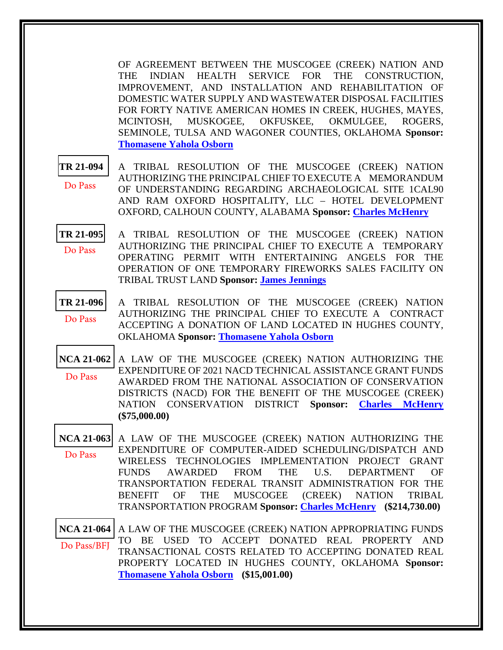OF AGREEMENT BETWEEN THE MUSCOGEE (CREEK) NATION AND THE INDIAN HEALTH SERVICE FOR THE CONSTRUCTION, IMPROVEMENT, AND INSTALLATION AND REHABILITATION OF DOMESTIC WATER SUPPLY AND WASTEWATER DISPOSAL FACILITIES FOR FORTY NATIVE AMERICAN HOMES IN CREEK, HUGHES, MAYES, MCINTOSH, MUSKOGEE, OKFUSKEE, OKMULGEE, ROGERS, SEMINOLE, TULSA AND WAGONER COUNTIES, OKLAHOMA **Sponsor: [Thomasene Yahola Osborn](mailto:tosborn@mcn-nsn.gov)**

**[TR 21-094](bills/21-094.pdf)** A TRIBAL RESOLUTION OF THE MUSCOGEE (CREEK) NATION AUTHORIZING THE PRINCIPAL CHIEF TO EXECUTE A MEMORANDUM OF UNDERSTANDING REGARDING ARCHAEOLOGICAL SITE 1CAL90 AND RAM OXFORD HOSPITALITY, LLC – HOTEL DEVELOPMENT OXFORD, CALHOUN COUNTY, ALABAMA **Sponsor: [Charles McHenry](mailto:cmchenry@mcn-nsn.gov)** Do Pass

- **[TR 21-095](bills/21-095.pdf)** A TRIBAL RESOLUTION OF THE MUSCOGEE (CREEK) NATION AUTHORIZING THE PRINCIPAL CHIEF TO EXECUTE A TEMPORARY OPERATING PERMIT WITH ENTERTAINING ANGELS FOR THE OPERATION OF ONE TEMPORARY FIREWORKS SALES FACILITY ON TRIBAL TRUST LAND **Sponsor: [James Jennings](mailto:jjennings@mcn-nsn.gov)** Do Pass
- **[TR 21-096](bills/21-096.pdf)** A TRIBAL RESOLUTION OF THE MUSCOGEE (CREEK) NATION AUTHORIZING THE PRINCIPAL CHIEF TO EXECUTE A CONTRACT ACCEPTING A DONATION OF LAND LOCATED IN HUGHES COUNTY, OKLAHOMA **Sponsor: [Thomasene Yahola Osborn](mailto:tosborn@mcn-nsn.gov)** Do Pass
- **[NCA 21-062](bills/NCA21-062.pdf)** A LAW OF THE MUSCOGEE (CREEK) NATION AUTHORIZING THE EXPENDITURE OF 2021 NACD TECHNICAL ASSISTANCE GRANT FUNDS AWARDED FROM THE NATIONAL ASSOCIATION OF CONSERVATION DISTRICTS (NACD) FOR THE BENEFIT OF THE MUSCOGEE (CREEK) NATION CONSERVATION DISTRICT **Sponsor: [Charles McHenry](mailto:cmchenry@mcn-nsn.gov)  (\$75,000.00)**  Do Pass
- **[NCA 21-063](bills/NCA21-093.pdf)** A LAW OF THE MUSCOGEE (CREEK) NATION AUTHORIZING THE EXPENDITURE OF COMPUTER-AIDED SCHEDULING/DISPATCH AND WIRELESS TECHNOLOGIES IMPLEMENTATION PROJECT GRANT FUNDS AWARDED FROM THE U.S. DEPARTMENT OF TRANSPORTATION FEDERAL TRANSIT ADMINISTRATION FOR THE BENEFIT OF THE MUSCOGEE (CREEK) NATION TRIBAL TRANSPORTATION PROGRAM **Sponsor: [Charles McHenry](mailto:cmchenry@mcn-nsn.gov) (\$214,730.00)**  Do Pass

**[NCA 21-064](bills/21-064.pdf)** A LAW OF THE MUSCOGEE (CREEK) NATION APPROPRIATING FUNDS TO BE USED TO ACCEPT DONATED REAL PROPERTY AND TRANSACTIONAL COSTS RELATED TO ACCEPTING DONATED REAL PROPERTY LOCATED IN HUGHES COUNTY, OKLAHOMA **Sponsor: [Thomasene Yahola Osborn](mailto:tosborn@mcn-nsn.gov) (\$15,001.00)**  Do Pass/BFJ